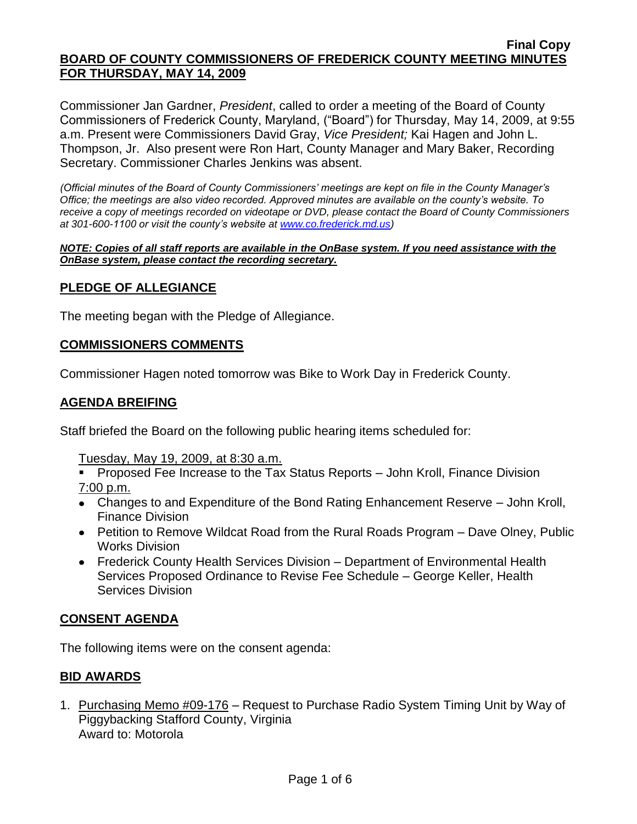#### **Final Copy BOARD OF COUNTY COMMISSIONERS OF FREDERICK COUNTY MEETING MINUTES FOR THURSDAY, MAY 14, 2009**

Commissioner Jan Gardner, *President*, called to order a meeting of the Board of County Commissioners of Frederick County, Maryland, ("Board") for Thursday, May 14, 2009, at 9:55 a.m. Present were Commissioners David Gray, *Vice President;* Kai Hagen and John L. Thompson, Jr. Also present were Ron Hart, County Manager and Mary Baker, Recording Secretary. Commissioner Charles Jenkins was absent.

*(Official minutes of the Board of County Commissioners' meetings are kept on file in the County Manager's Office; the meetings are also video recorded. Approved minutes are available on the county's website. To receive a copy of meetings recorded on videotape or DVD, please contact the Board of County Commissioners at 301-600-1100 or visit the county's website at [www.co.frederick.md.us\)](http://www.co.frederick.md.us/)*

#### *NOTE: Copies of all staff reports are available in the OnBase system. If you need assistance with the OnBase system, please contact the recording secretary.*

## **PLEDGE OF ALLEGIANCE**

The meeting began with the Pledge of Allegiance.

### **COMMISSIONERS COMMENTS**

Commissioner Hagen noted tomorrow was Bike to Work Day in Frederick County.

## **AGENDA BREIFING**

Staff briefed the Board on the following public hearing items scheduled for:

Tuesday, May 19, 2009, at 8:30 a.m.

- **Proposed Fee Increase to the Tax Status Reports John Kroll, Finance Division** 7:00 p.m.
- Changes to and Expenditure of the Bond Rating Enhancement Reserve John Kroll, Finance Division
- Petition to Remove Wildcat Road from the Rural Roads Program Dave Olney, Public Works Division
- Frederick County Health Services Division Department of Environmental Health Services Proposed Ordinance to Revise Fee Schedule – George Keller, Health Services Division

### **CONSENT AGENDA**

The following items were on the consent agenda:

### **BID AWARDS**

1. Purchasing Memo #09-176 – Request to Purchase Radio System Timing Unit by Way of Piggybacking Stafford County, Virginia Award to: Motorola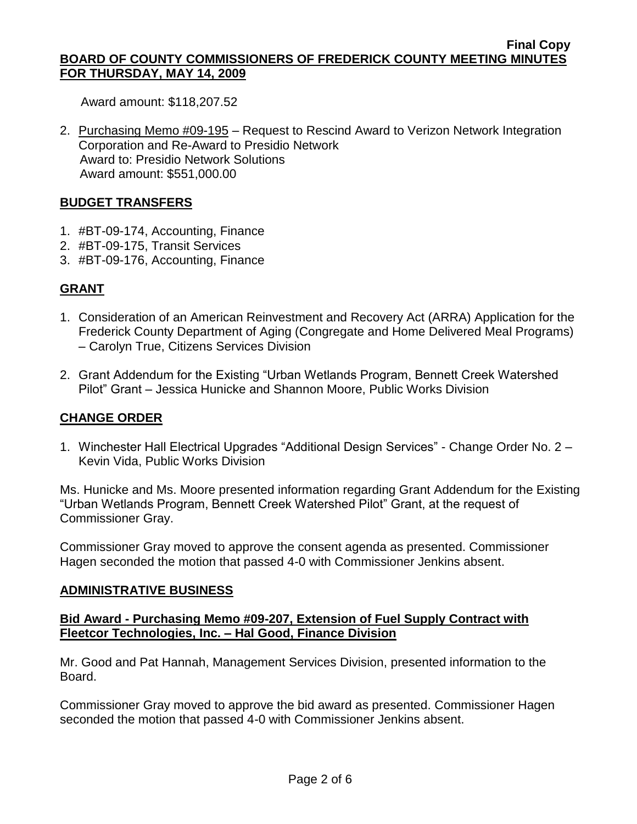#### **Final Copy BOARD OF COUNTY COMMISSIONERS OF FREDERICK COUNTY MEETING MINUTES FOR THURSDAY, MAY 14, 2009**

Award amount: \$118,207.52

2. Purchasing Memo #09-195 – Request to Rescind Award to Verizon Network Integration Corporation and Re-Award to Presidio Network Award to: Presidio Network Solutions Award amount: \$551,000.00

## **BUDGET TRANSFERS**

- 1. #BT-09-174, Accounting, Finance
- 2. #BT-09-175, Transit Services
- 3. #BT-09-176, Accounting, Finance

# **GRANT**

- 1. Consideration of an American Reinvestment and Recovery Act (ARRA) Application for the Frederick County Department of Aging (Congregate and Home Delivered Meal Programs) – Carolyn True, Citizens Services Division
- 2. Grant Addendum for the Existing "Urban Wetlands Program, Bennett Creek Watershed Pilot" Grant – Jessica Hunicke and Shannon Moore, Public Works Division

## **CHANGE ORDER**

1. Winchester Hall Electrical Upgrades "Additional Design Services" - Change Order No. 2 – Kevin Vida, Public Works Division

Ms. Hunicke and Ms. Moore presented information regarding Grant Addendum for the Existing "Urban Wetlands Program, Bennett Creek Watershed Pilot" Grant, at the request of Commissioner Gray.

Commissioner Gray moved to approve the consent agenda as presented. Commissioner Hagen seconded the motion that passed 4-0 with Commissioner Jenkins absent.

### **ADMINISTRATIVE BUSINESS**

### **Bid Award - Purchasing Memo #09-207, Extension of Fuel Supply Contract with Fleetcor Technologies, Inc. – Hal Good, Finance Division**

Mr. Good and Pat Hannah, Management Services Division, presented information to the Board.

Commissioner Gray moved to approve the bid award as presented. Commissioner Hagen seconded the motion that passed 4-0 with Commissioner Jenkins absent.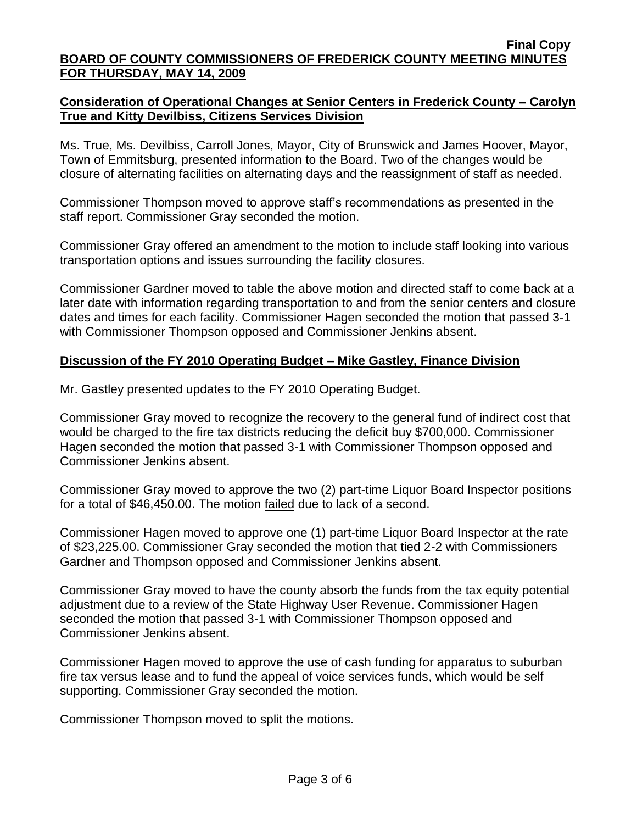## **Consideration of Operational Changes at Senior Centers in Frederick County – Carolyn True and Kitty Devilbiss, Citizens Services Division**

Ms. True, Ms. Devilbiss, Carroll Jones, Mayor, City of Brunswick and James Hoover, Mayor, Town of Emmitsburg, presented information to the Board. Two of the changes would be closure of alternating facilities on alternating days and the reassignment of staff as needed.

Commissioner Thompson moved to approve staff's recommendations as presented in the staff report. Commissioner Gray seconded the motion.

Commissioner Gray offered an amendment to the motion to include staff looking into various transportation options and issues surrounding the facility closures.

Commissioner Gardner moved to table the above motion and directed staff to come back at a later date with information regarding transportation to and from the senior centers and closure dates and times for each facility. Commissioner Hagen seconded the motion that passed 3-1 with Commissioner Thompson opposed and Commissioner Jenkins absent.

### **Discussion of the FY 2010 Operating Budget – Mike Gastley, Finance Division**

Mr. Gastley presented updates to the FY 2010 Operating Budget.

Commissioner Gray moved to recognize the recovery to the general fund of indirect cost that would be charged to the fire tax districts reducing the deficit buy \$700,000. Commissioner Hagen seconded the motion that passed 3-1 with Commissioner Thompson opposed and Commissioner Jenkins absent.

Commissioner Gray moved to approve the two (2) part-time Liquor Board Inspector positions for a total of \$46,450.00. The motion failed due to lack of a second.

Commissioner Hagen moved to approve one (1) part-time Liquor Board Inspector at the rate of \$23,225.00. Commissioner Gray seconded the motion that tied 2-2 with Commissioners Gardner and Thompson opposed and Commissioner Jenkins absent.

Commissioner Gray moved to have the county absorb the funds from the tax equity potential adjustment due to a review of the State Highway User Revenue. Commissioner Hagen seconded the motion that passed 3-1 with Commissioner Thompson opposed and Commissioner Jenkins absent.

Commissioner Hagen moved to approve the use of cash funding for apparatus to suburban fire tax versus lease and to fund the appeal of voice services funds, which would be self supporting. Commissioner Gray seconded the motion.

Commissioner Thompson moved to split the motions.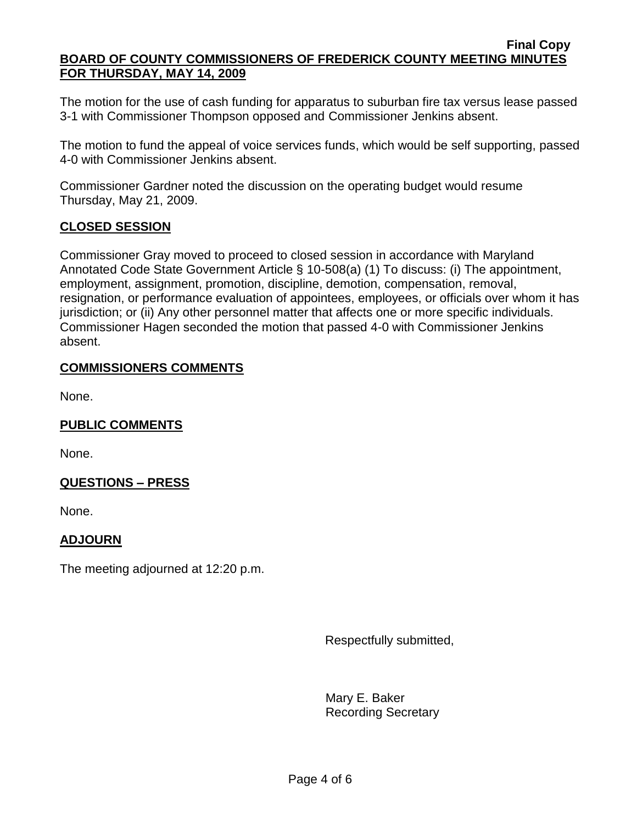The motion for the use of cash funding for apparatus to suburban fire tax versus lease passed 3-1 with Commissioner Thompson opposed and Commissioner Jenkins absent.

The motion to fund the appeal of voice services funds, which would be self supporting, passed 4-0 with Commissioner Jenkins absent.

Commissioner Gardner noted the discussion on the operating budget would resume Thursday, May 21, 2009.

# **CLOSED SESSION**

Commissioner Gray moved to proceed to closed session in accordance with Maryland Annotated Code State Government Article § 10-508(a) (1) To discuss: (i) The appointment, employment, assignment, promotion, discipline, demotion, compensation, removal, resignation, or performance evaluation of appointees, employees, or officials over whom it has jurisdiction; or (ii) Any other personnel matter that affects one or more specific individuals. Commissioner Hagen seconded the motion that passed 4-0 with Commissioner Jenkins absent.

## **COMMISSIONERS COMMENTS**

None.

# **PUBLIC COMMENTS**

None.

# **QUESTIONS – PRESS**

None.

# **ADJOURN**

The meeting adjourned at 12:20 p.m.

Respectfully submitted,

Mary E. Baker Recording Secretary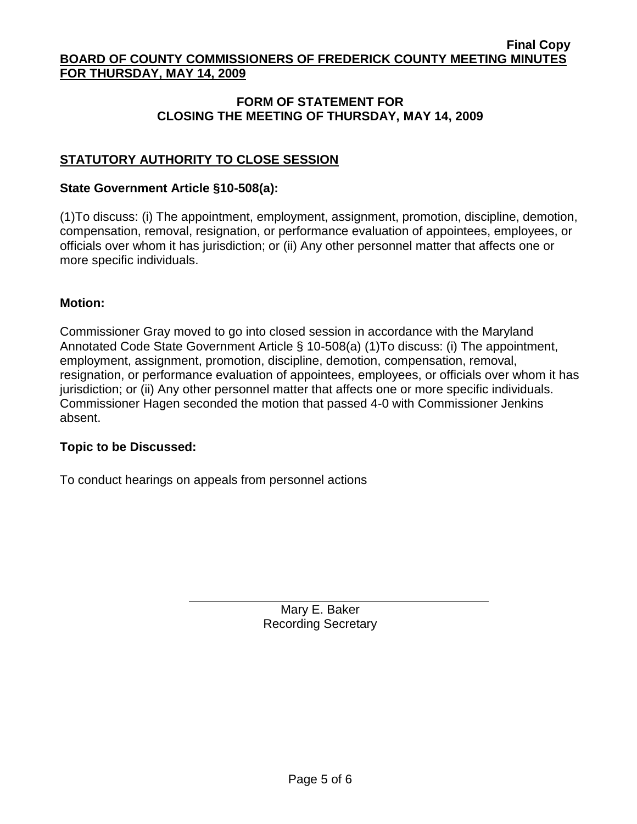## **FORM OF STATEMENT FOR CLOSING THE MEETING OF THURSDAY, MAY 14, 2009**

# **STATUTORY AUTHORITY TO CLOSE SESSION**

#### **State Government Article §10-508(a):**

(1)To discuss: (i) The appointment, employment, assignment, promotion, discipline, demotion, compensation, removal, resignation, or performance evaluation of appointees, employees, or officials over whom it has jurisdiction; or (ii) Any other personnel matter that affects one or more specific individuals.

#### **Motion:**

Commissioner Gray moved to go into closed session in accordance with the Maryland Annotated Code State Government Article § 10-508(a) (1)To discuss: (i) The appointment, employment, assignment, promotion, discipline, demotion, compensation, removal, resignation, or performance evaluation of appointees, employees, or officials over whom it has jurisdiction; or (ii) Any other personnel matter that affects one or more specific individuals. Commissioner Hagen seconded the motion that passed 4-0 with Commissioner Jenkins absent.

### **Topic to be Discussed:**

To conduct hearings on appeals from personnel actions

Mary E. Baker Recording Secretary